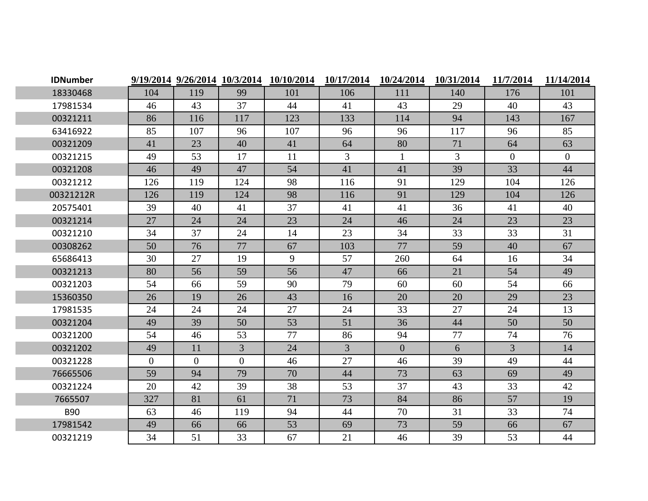| <b>IDNumber</b> |                | 9/19/2014 9/26/2014 10/3/2014 |                | 10/10/2014 | 10/17/2014     | 10/24/2014     | 10/31/2014     | 11/7/2014      | 11/14/2014     |
|-----------------|----------------|-------------------------------|----------------|------------|----------------|----------------|----------------|----------------|----------------|
| 18330468        | 104            | 119                           | 99             | 101        | 106            | 111            | 140            | 176            | 101            |
| 17981534        | 46             | 43                            | 37             | 44         | 41             | 43             | 29             | 40             | 43             |
| 00321211        | 86             | 116                           | 117            | 123        | 133            | 114            | 94             | 143            | 167            |
| 63416922        | 85             | 107                           | 96             | 107        | 96             | 96             | 117            | 96             | 85             |
| 00321209        | 41             | 23                            | 40             | 41         | 64             | 80             | 71             | 64             | 63             |
| 00321215        | 49             | 53                            | 17             | 11         | $\overline{3}$ | $\mathbf{1}$   | $\overline{3}$ | $\overline{0}$ | $\overline{0}$ |
| 00321208        | 46             | 49                            | 47             | 54         | 41             | 41             | 39             | 33             | 44             |
| 00321212        | 126            | 119                           | 124            | 98         | 116            | 91             | 129            | 104            | 126            |
| 00321212R       | 126            | 119                           | 124            | 98         | 116            | 91             | 129            | 104            | 126            |
| 20575401        | 39             | 40                            | 41             | 37         | 41             | 41             | 36             | 41             | 40             |
| 00321214        | 27             | 24                            | 24             | 23         | 24             | 46             | 24             | 23             | 23             |
| 00321210        | 34             | 37                            | 24             | 14         | 23             | 34             | 33             | 33             | 31             |
| 00308262        | 50             | 76                            | 77             | 67         | 103            | 77             | 59             | 40             | 67             |
| 65686413        | 30             | 27                            | 19             | 9          | 57             | 260            | 64             | 16             | 34             |
| 00321213        | 80             | 56                            | 59             | 56         | 47             | 66             | 21             | 54             | 49             |
| 00321203        | 54             | 66                            | 59             | 90         | 79             | 60             | 60             | 54             | 66             |
| 15360350        | 26             | 19                            | 26             | 43         | 16             | 20             | 20             | 29             | 23             |
| 17981535        | 24             | 24                            | 24             | 27         | 24             | 33             | 27             | 24             | 13             |
| 00321204        | 49             | 39                            | 50             | 53         | 51             | 36             | 44             | 50             | 50             |
| 00321200        | 54             | 46                            | 53             | 77         | 86             | 94             | 77             | 74             | 76             |
| 00321202        | 49             | 11                            | 3 <sup>1</sup> | 24         | $\overline{3}$ | $\overline{0}$ | 6              | $\mathfrak{Z}$ | 14             |
| 00321228        | $\overline{0}$ | $\overline{0}$                | $\overline{0}$ | 46         | 27             | 46             | 39             | 49             | 44             |
| 76665506        | 59             | 94                            | 79             | 70         | 44             | 73             | 63             | 69             | 49             |
| 00321224        | 20             | 42                            | 39             | 38         | 53             | 37             | 43             | 33             | 42             |
| 7665507         | 327            | 81                            | 61             | 71         | 73             | 84             | 86             | 57             | 19             |
| <b>B90</b>      | 63             | 46                            | 119            | 94         | 44             | 70             | 31             | 33             | 74             |
| 17981542        | 49             | 66                            | 66             | 53         | 69             | 73             | 59             | 66             | 67             |
| 00321219        | 34             | 51                            | 33             | 67         | 21             | 46             | 39             | 53             | 44             |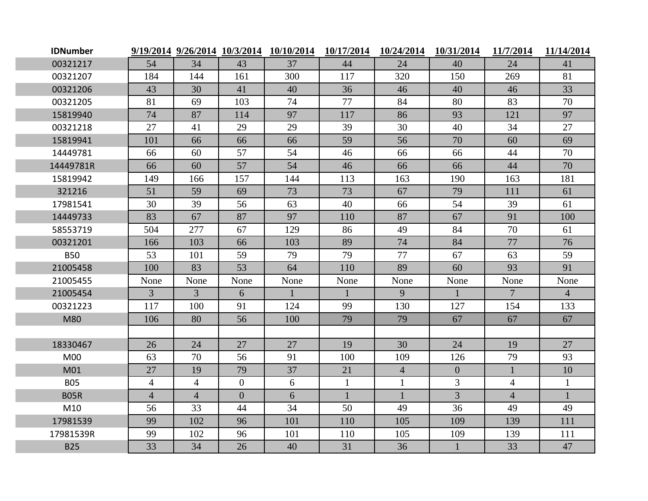| <b>IDNumber</b> |                |                |                | 9/19/2014 9/26/2014 10/3/2014 10/10/2014 | 10/17/2014   | 10/24/2014     | 10/31/2014     | 11/7/2014       | 11/14/2014     |
|-----------------|----------------|----------------|----------------|------------------------------------------|--------------|----------------|----------------|-----------------|----------------|
| 00321217        | 54             | 34             | 43             | 37                                       | 44           | 24             | 40             | 24              | 41             |
| 00321207        | 184            | 144            | 161            | 300                                      | 117          | 320            | 150            | 269             | 81             |
| 00321206        | 43             | 30             | 41             | 40                                       | 36           | 46             | 40             | 46              | 33             |
| 00321205        | 81             | 69             | 103            | 74                                       | 77           | 84             | 80             | 83              | 70             |
| 15819940        | 74             | 87             | 114            | 97                                       | 117          | 86             | 93             | 121             | 97             |
| 00321218        | 27             | 41             | 29             | 29                                       | 39           | 30             | 40             | 34              | 27             |
| 15819941        | 101            | 66             | 66             | 66                                       | 59           | 56             | 70             | 60              | 69             |
| 14449781        | 66             | 60             | 57             | 54                                       | 46           | 66             | 66             | 44              | 70             |
| 14449781R       | 66             | 60             | 57             | 54                                       | 46           | 66             | 66             | 44              | 70             |
| 15819942        | 149            | 166            | 157            | 144                                      | 113          | 163            | 190            | 163             | 181            |
| 321216          | 51             | 59             | 69             | 73                                       | 73           | 67             | 79             | 111             | 61             |
| 17981541        | 30             | 39             | 56             | 63                                       | 40           | 66             | 54             | 39              | 61             |
| 14449733        | 83             | 67             | 87             | 97                                       | 110          | 87             | 67             | 91              | 100            |
| 58553719        | 504            | 277            | 67             | 129                                      | 86           | 49             | 84             | 70              | 61             |
| 00321201        | 166            | 103            | 66             | 103                                      | 89           | 74             | 84             | 77              | 76             |
| <b>B50</b>      | 53             | 101            | 59             | 79                                       | 79           | 77             | 67             | 63              | 59             |
| 21005458        | 100            | 83             | 53             | 64                                       | 110          | 89             | 60             | 93              | 91             |
| 21005455        | None           | None           | None           | None                                     | None         | None           | None           | None            | None           |
| 21005454        | $\overline{3}$ | 3              | 6              | $\mathbf{1}$                             |              | 9              | $\mathbf{1}$   | $7\overline{ }$ | $\overline{4}$ |
| 00321223        | 117            | 100            | 91             | 124                                      | 99           | 130            | 127            | 154             | 133            |
| M80             | 106            | 80             | 56             | 100                                      | 79           | 79             | 67             | 67              | 67             |
|                 |                |                |                |                                          |              |                |                |                 |                |
| 18330467        | 26             | 24             | 27             | 27                                       | 19           | 30             | 24             | 19              | 27             |
| M00             | 63             | 70             | 56             | 91                                       | 100          | 109            | 126            | 79              | 93             |
| M01             | 27             | 19             | 79             | 37                                       | 21           | $\overline{4}$ | $\overline{0}$ | $\mathbf{1}$    | 10             |
| <b>B05</b>      | $\overline{4}$ | $\overline{4}$ | $\overline{0}$ | 6                                        | $\mathbf{1}$ | $\mathbf{1}$   | $\overline{3}$ | $\overline{4}$  | $\mathbf{1}$   |
| <b>B05R</b>     | $\overline{4}$ | $\overline{4}$ | $\overline{0}$ | 6                                        | $\mathbf{1}$ | $\mathbf{1}$   | $\overline{3}$ | $\overline{4}$  | $\mathbf{1}$   |
| M10             | 56             | 33             | 44             | 34                                       | 50           | 49             | 36             | 49              | 49             |
| 17981539        | 99             | 102            | 96             | 101                                      | 110          | 105            | 109            | 139             | 111            |
| 17981539R       | 99             | 102            | 96             | 101                                      | 110          | 105            | 109            | 139             | 111            |
| <b>B25</b>      | 33             | 34             | 26             | 40                                       | 31           | 36             | $\mathbf{1}$   | 33              | 47             |